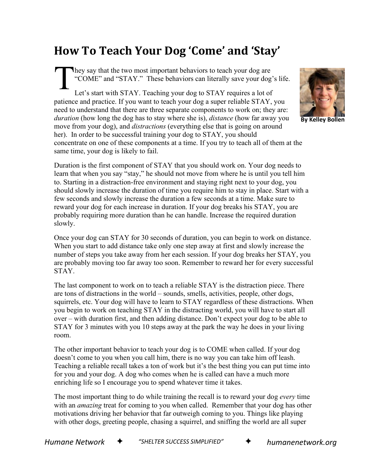## **How To Teach Your Dog 'Come' and 'Stay'**

hey say that the two most important behaviors to teach your dog are "COME" and "STAY." These behaviors can literally save your dog's life. Let's start with STAY. Teaching your dog to STAY requires a lot of patience and practice. If you want to teach your dog a super reliable STAY, you need to understand that there are three separate components to work on; they are: *duration* (how long the dog has to stay where she is), *distance* (how far away you move from your dog), and *distractions* (everything else that is going on around her). In order to be successful training your dog to STAY, you should concentrate on one of these components at a time. If you try to teach all of them at the same time, your dog is likely to fail. T



**By Kelley Bollen**

Duration is the first component of STAY that you should work on. Your dog needs to learn that when you say "stay," he should not move from where he is until you tell him to. Starting in a distraction-free environment and staying right next to your dog, you should slowly increase the duration of time you require him to stay in place. Start with a few seconds and slowly increase the duration a few seconds at a time. Make sure to reward your dog for each increase in duration. If your dog breaks his STAY, you are probably requiring more duration than he can handle. Increase the required duration slowly.

Once your dog can STAY for 30 seconds of duration, you can begin to work on distance. When you start to add distance take only one step away at first and slowly increase the number of steps you take away from her each session. If your dog breaks her STAY, you are probably moving too far away too soon. Remember to reward her for every successful STAY.

The last component to work on to teach a reliable STAY is the distraction piece. There are tons of distractions in the world – sounds, smells, activities, people, other dogs, squirrels, etc. Your dog will have to learn to STAY regardless of these distractions. When you begin to work on teaching STAY in the distracting world, you will have to start all over – with duration first, and then adding distance. Don't expect your dog to be able to STAY for 3 minutes with you 10 steps away at the park the way he does in your living room.

The other important behavior to teach your dog is to COME when called. If your dog doesn't come to you when you call him, there is no way you can take him off leash. Teaching a reliable recall takes a ton of work but it's the best thing you can put time into for you and your dog. A dog who comes when he is called can have a much more enriching life so I encourage you to spend whatever time it takes.

The most important thing to do while training the recall is to reward your dog *every* time with an *amazing* treat for coming to you when called. Remember that your dog has other motivations driving her behavior that far outweigh coming to you. Things like playing with other dogs, greeting people, chasing a squirrel, and sniffing the world are all super

*Humane Network* ✦ *"SHELTER SUCCESS SIMPLIFIED"* ✦ *humanenetwork.org*